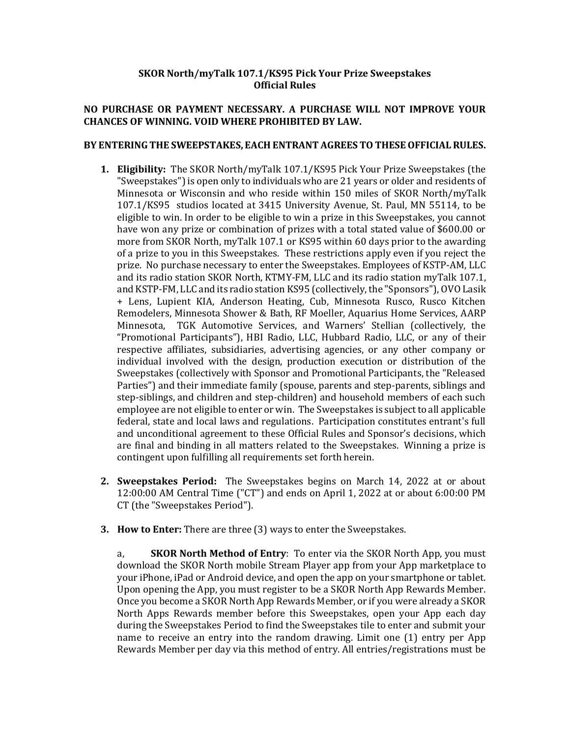# **SKOR North/myTalk 107.1/KS95 Pick Your Prize Sweepstakes Official Rules**

## **NO PURCHASE OR PAYMENT NECESSARY. A PURCHASE WILL NOT IMPROVE YOUR CHANCES OF WINNING. VOID WHERE PROHIBITED BY LAW.**

### BY ENTERING THE SWEEPSTAKES, EACH ENTRANT AGREES TO THESE OFFICIAL RULES.

- **1. Eligibility:** The SKOR North/myTalk 107.1/KS95 Pick Your Prize Sweepstakes (the "Sweepstakes") is open only to individuals who are 21 years or older and residents of Minnesota or Wisconsin and who reside within 150 miles of SKOR North/myTalk 107.1/KS95 studios located at 3415 University Avenue, St. Paul, MN 55114, to be eligible to win. In order to be eligible to win a prize in this Sweepstakes, you cannot have won any prize or combination of prizes with a total stated value of \$600.00 or more from SKOR North, myTalk 107.1 or KS95 within 60 days prior to the awarding of a prize to you in this Sweepstakes. These restrictions apply even if you reject the prize. No purchase necessary to enter the Sweepstakes. Employees of KSTP-AM, LLC and its radio station SKOR North, KTMY-FM, LLC and its radio station myTalk 107.1, and KSTP-FM, LLC and its radio station KS95 (collectively, the "Sponsors"), OVO Lasik + Lens, Lupient KIA, Anderson Heating, Cub, Minnesota Rusco, Rusco Kitchen Remodelers, Minnesota Shower & Bath, RF Moeller, Aquarius Home Services, AARP Minnesota, TGK Automotive Services, and Warners' Stellian (collectively, the "Promotional Participants"), HBI Radio, LLC, Hubbard Radio, LLC, or any of their respective affiliates, subsidiaries, advertising agencies, or any other company or individual involved with the design, production execution or distribution of the Sweepstakes (collectively with Sponsor and Promotional Participants, the "Released Parties") and their immediate family (spouse, parents and step-parents, siblings and step-siblings, and children and step-children) and household members of each such employee are not eligible to enter or win. The Sweepstakes is subject to all applicable federal, state and local laws and regulations. Participation constitutes entrant's full and unconditional agreement to these Official Rules and Sponsor's decisions, which are final and binding in all matters related to the Sweepstakes. Winning a prize is contingent upon fulfilling all requirements set forth herein.
- **2. Sweepstakes Period:** The Sweepstakes begins on March 14, 2022 at or about  $12:00:00$  AM Central Time ("CT") and ends on April 1, 2022 at or about  $6:00:00$  PM CT (the "Sweepstakes Period").
- **3. How to Enter:** There are three (3) ways to enter the Sweepstakes.

a, **SKOR North Method of Entry**: To enter via the SKOR North App, you must download the SKOR North mobile Stream Player app from your App marketplace to your iPhone, iPad or Android device, and open the app on your smartphone or tablet. Upon opening the App, you must register to be a SKOR North App Rewards Member. Once you become a SKOR North App Rewards Member, or if you were already a SKOR North Apps Rewards member before this Sweepstakes, open your App each day during the Sweepstakes Period to find the Sweepstakes tile to enter and submit your name to receive an entry into the random drawing. Limit one (1) entry per App Rewards Member per day via this method of entry. All entries/registrations must be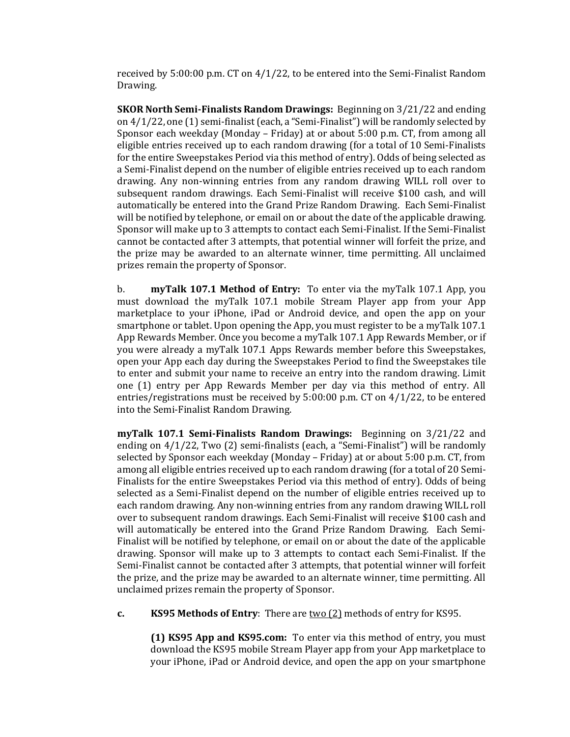received by  $5:00:00$  p.m. CT on  $4/1/22$ , to be entered into the Semi-Finalist Random Drawing.

**SKOR North Semi-Finalists Random Drawings:** Beginning on 3/21/22 and ending on  $4/1/22$ , one  $(1)$  semi-finalist (each, a "Semi-Finalist") will be randomly selected by Sponsor each weekday (Monday – Friday) at or about 5:00 p.m. CT, from among all eligible entries received up to each random drawing (for a total of 10 Semi-Finalists for the entire Sweepstakes Period via this method of entry). Odds of being selected as a Semi-Finalist depend on the number of eligible entries received up to each random drawing. Any non-winning entries from any random drawing WILL roll over to subsequent random drawings. Each Semi-Finalist will receive \$100 cash, and will automatically be entered into the Grand Prize Random Drawing. Each Semi-Finalist will be notified by telephone, or email on or about the date of the applicable drawing. Sponsor will make up to 3 attempts to contact each Semi-Finalist. If the Semi-Finalist cannot be contacted after 3 attempts, that potential winner will forfeit the prize, and the prize may be awarded to an alternate winner, time permitting. All unclaimed prizes remain the property of Sponsor.

b. **myTalk 107.1 Method of Entry:** To enter via the myTalk 107.1 App, you must download the myTalk  $107.1$  mobile Stream Player app from your App marketplace to your iPhone, iPad or Android device, and open the app on your smartphone or tablet. Upon opening the App, you must register to be a myTalk 107.1 App Rewards Member. Once you become a myTalk 107.1 App Rewards Member, or if you were already a myTalk 107.1 Apps Rewards member before this Sweepstakes, open your App each day during the Sweepstakes Period to find the Sweepstakes tile to enter and submit your name to receive an entry into the random drawing. Limit one (1) entry per App Rewards Member per day via this method of entry. All entries/registrations must be received by  $5:00:00$  p.m. CT on  $4/1/22$ , to be entered into the Semi-Finalist Random Drawing.

**myTalk 107.1 Semi-Finalists Random Drawings:** Beginning on  $3/21/22$  and ending on  $4/1/22$ , Two  $(2)$  semi-finalists (each, a "Semi-Finalist") will be randomly selected by Sponsor each weekday (Monday – Friday) at or about  $5:00$  p.m. CT, from among all eligible entries received up to each random drawing (for a total of 20 Semi-Finalists for the entire Sweepstakes Period via this method of entry). Odds of being selected as a Semi-Finalist depend on the number of eligible entries received up to each random drawing. Any non-winning entries from any random drawing WILL roll over to subsequent random drawings. Each Semi-Finalist will receive \$100 cash and will automatically be entered into the Grand Prize Random Drawing. Each Semi-Finalist will be notified by telephone, or email on or about the date of the applicable drawing. Sponsor will make up to 3 attempts to contact each Semi-Finalist. If the Semi-Finalist cannot be contacted after 3 attempts, that potential winner will forfeit the prize, and the prize may be awarded to an alternate winner, time permitting. All unclaimed prizes remain the property of Sponsor.

**c. KS95 Methods of Entry**: There are **two** (2) methods of entry for KS95.

**(1) KS95 App and KS95.com:** To enter via this method of entry, you must download the KS95 mobile Stream Player app from your App marketplace to your iPhone, iPad or Android device, and open the app on your smartphone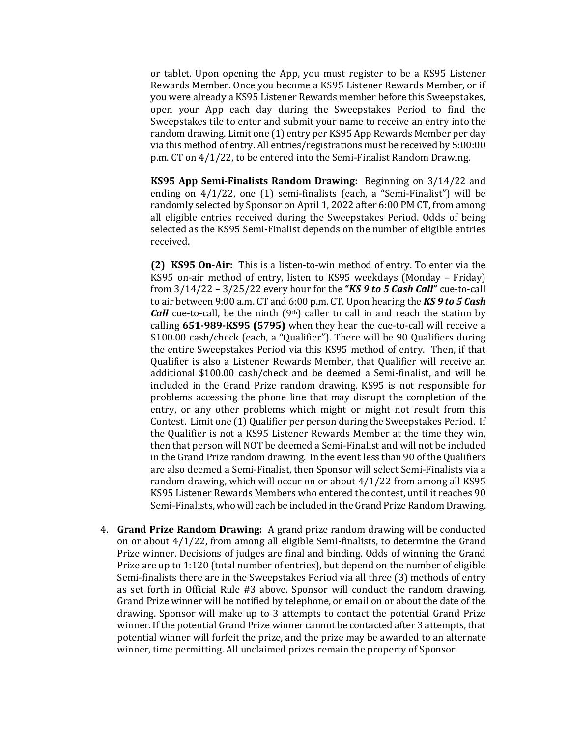or tablet. Upon opening the App, you must register to be a KS95 Listener Rewards Member. Once you become a KS95 Listener Rewards Member, or if you were already a KS95 Listener Rewards member before this Sweepstakes, open your App each day during the Sweepstakes Period to find the Sweepstakes tile to enter and submit your name to receive an entry into the random drawing. Limit one (1) entry per KS95 App Rewards Member per day via this method of entry. All entries/registrations must be received by 5:00:00 p.m.  $CT$  on  $4/1/22$ , to be entered into the Semi-Finalist Random Drawing.

**KS95** App Semi-Finalists Random Drawing: Beginning on  $3/14/22$  and ending on  $4/1/22$ , one (1) semi-finalists (each, a "Semi-Finalist") will be randomly selected by Sponsor on April 1, 2022 after 6:00 PM CT, from among all eligible entries received during the Sweepstakes Period. Odds of being selected as the KS95 Semi-Finalist depends on the number of eligible entries received. 

**(2) KS95 On-Air:** This is a listen-to-win method of entry. To enter via the KS95 on-air method of entry, listen to KS95 weekdays (Monday – Friday) from  $3/14/22 - 3/25/22$  every hour for the "KS 9 to 5 Cash Call" cue-to-call to air between 9:00 a.m. CT and 6:00 p.m. CT. Upon hearing the KS 9 to 5 Cash *Call* cue-to-call, be the ninth  $(9<sup>th</sup>)$  caller to call in and reach the station by calling 651-989-KS95 (5795) when they hear the cue-to-call will receive a \$100.00 cash/check (each, a "Qualifier"). There will be 90 Qualifiers during the entire Sweepstakes Period via this KS95 method of entry. Then, if that Qualifier is also a Listener Rewards Member, that Qualifier will receive an additional \$100.00 cash/check and be deemed a Semi-finalist, and will be included in the Grand Prize random drawing. KS95 is not responsible for problems accessing the phone line that may disrupt the completion of the entry, or any other problems which might or might not result from this Contest. Limit one (1) Qualifier per person during the Sweepstakes Period. If the Qualifier is not a KS95 Listener Rewards Member at the time they win, then that person will NOT be deemed a Semi-Finalist and will not be included in the Grand Prize random drawing. In the event less than 90 of the Qualifiers are also deemed a Semi-Finalist, then Sponsor will select Semi-Finalists via a random drawing, which will occur on or about  $4/1/22$  from among all KS95 KS95 Listener Rewards Members who entered the contest, until it reaches 90 Semi-Finalists, who will each be included in the Grand Prize Random Drawing.

4. **Grand Prize Random Drawing:** A grand prize random drawing will be conducted on or about  $4/1/22$ , from among all eligible Semi-finalists, to determine the Grand Prize winner. Decisions of judges are final and binding. Odds of winning the Grand Prize are up to  $1:120$  (total number of entries), but depend on the number of eligible Semi-finalists there are in the Sweepstakes Period via all three  $(3)$  methods of entry as set forth in Official Rule #3 above. Sponsor will conduct the random drawing. Grand Prize winner will be notified by telephone, or email on or about the date of the drawing. Sponsor will make up to 3 attempts to contact the potential Grand Prize winner. If the potential Grand Prize winner cannot be contacted after 3 attempts, that potential winner will forfeit the prize, and the prize may be awarded to an alternate winner, time permitting. All unclaimed prizes remain the property of Sponsor.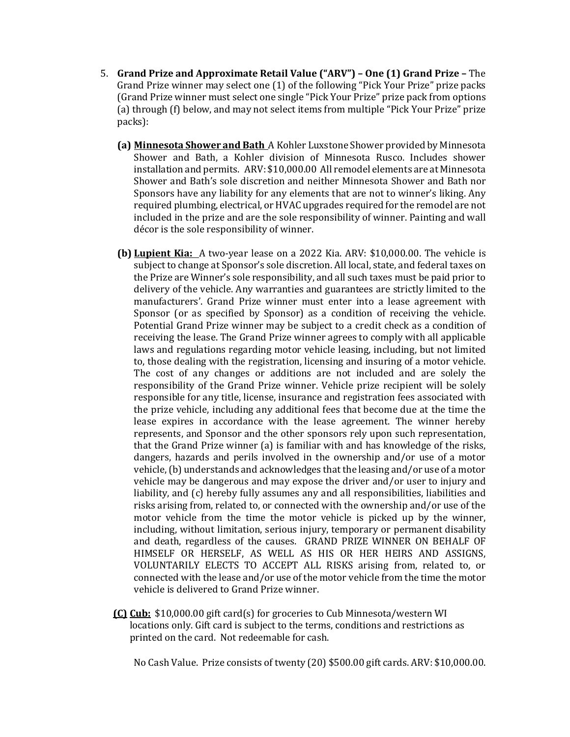- 5. **Grand Prize and Approximate Retail Value ("ARV") One (1) Grand Prize The** Grand Prize winner may select one (1) of the following "Pick Your Prize" prize packs (Grand Prize winner must select one single "Pick Your Prize" prize pack from options (a) through (f) below, and may not select items from multiple "Pick Your Prize" prize packs):
	- **(a) Minnesota Shower and Bath** A Kohler Luxstone Shower provided by Minnesota Shower and Bath, a Kohler division of Minnesota Rusco. Includes shower installation and permits. ARV: \$10,000.00 All remodel elements are at Minnesota Shower and Bath's sole discretion and neither Minnesota Shower and Bath nor Sponsors have any liability for any elements that are not to winner's liking. Any required plumbing, electrical, or HVAC upgrades required for the remodel are not included in the prize and are the sole responsibility of winner. Painting and wall décor is the sole responsibility of winner.
	- **(b) Lupient Kia:** A two-year lease on a 2022 Kia. ARV: \$10,000.00. The vehicle is subject to change at Sponsor's sole discretion. All local, state, and federal taxes on the Prize are Winner's sole responsibility, and all such taxes must be paid prior to delivery of the vehicle. Any warranties and guarantees are strictly limited to the manufacturers'. Grand Prize winner must enter into a lease agreement with Sponsor (or as specified by Sponsor) as a condition of receiving the vehicle. Potential Grand Prize winner may be subject to a credit check as a condition of receiving the lease. The Grand Prize winner agrees to comply with all applicable laws and regulations regarding motor vehicle leasing, including, but not limited to, those dealing with the registration, licensing and insuring of a motor vehicle. The cost of any changes or additions are not included and are solely the responsibility of the Grand Prize winner. Vehicle prize recipient will be solely responsible for any title, license, insurance and registration fees associated with the prize vehicle, including any additional fees that become due at the time the lease expires in accordance with the lease agreement. The winner hereby represents, and Sponsor and the other sponsors rely upon such representation, that the Grand Prize winner (a) is familiar with and has knowledge of the risks, dangers, hazards and perils involved in the ownership and/or use of a motor vehicle,  $\left(b\right)$  understands and acknowledges that the leasing and/or use of a motor vehicle may be dangerous and may expose the driver and/or user to injury and liability, and (c) hereby fully assumes any and all responsibilities, liabilities and risks arising from, related to, or connected with the ownership and/or use of the motor vehicle from the time the motor vehicle is picked up by the winner, including, without limitation, serious injury, temporary or permanent disability and death, regardless of the causes. GRAND PRIZE WINNER ON BEHALF OF HIMSELF OR HERSELF, AS WELL AS HIS OR HER HEIRS AND ASSIGNS, VOLUNTARILY ELECTS TO ACCEPT ALL RISKS arising from, related to, or connected with the lease and/or use of the motor vehicle from the time the motor vehicle is delivered to Grand Prize winner.
	- **(C) Cub:** \$10,000.00 gift card(s) for groceries to Cub Minnesota/western WI locations only. Gift card is subject to the terms, conditions and restrictions as printed on the card. Not redeemable for cash.

No Cash Value. Prize consists of twenty (20) \$500.00 gift cards. ARV: \$10,000.00.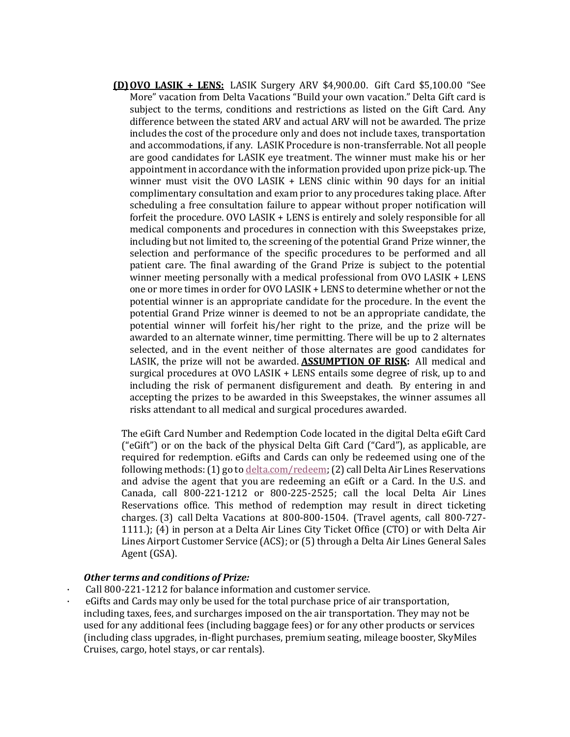**(D)OVO LASIK + LENS:** LASIK Surgery ARV \$4,900.00. Gift Card \$5,100.00 "See More" vacation from Delta Vacations "Build your own vacation." Delta Gift card is subject to the terms, conditions and restrictions as listed on the Gift Card. Any difference between the stated ARV and actual ARV will not be awarded. The prize includes the cost of the procedure only and does not include taxes, transportation and accommodations, if any. LASIK Procedure is non-transferrable. Not all people are good candidates for LASIK eve treatment. The winner must make his or her appointment in accordance with the information provided upon prize pick-up. The winner must visit the OVO LASIK  $+$  LENS clinic within 90 days for an initial complimentary consultation and exam prior to any procedures taking place. After scheduling a free consultation failure to appear without proper notification will forfeit the procedure. OVO LASIK + LENS is entirely and solely responsible for all medical components and procedures in connection with this Sweepstakes prize, including but not limited to, the screening of the potential Grand Prize winner, the selection and performance of the specific procedures to be performed and all patient care. The final awarding of the Grand Prize is subject to the potential winner meeting personally with a medical professional from  $OVO$  LASIK + LENS one or more times in order for OVO LASIK + LENS to determine whether or not the potential winner is an appropriate candidate for the procedure. In the event the potential Grand Prize winner is deemed to not be an appropriate candidate, the potential winner will forfeit his/her right to the prize, and the prize will be awarded to an alternate winner, time permitting. There will be up to 2 alternates selected, and in the event neither of those alternates are good candidates for LASIK, the prize will not be awarded. **ASSUMPTION OF RISK:** All medical and surgical procedures at OVO LASIK + LENS entails some degree of risk, up to and including the risk of permanent disfigurement and death. By entering in and accepting the prizes to be awarded in this Sweepstakes, the winner assumes all risks attendant to all medical and surgical procedures awarded.

The eGift Card Number and Redemption Code located in the digital Delta eGift Card ("eGift") or on the back of the physical Delta Gift Card ("Card"), as applicable, are required for redemption. eGifts and Cards can only be redeemed using one of the following methods:  $(1)$  go to delta.com/redeem;  $(2)$  call Delta Air Lines Reservations and advise the agent that you are redeeming an eGift or a Card. In the U.S. and Canada, call  $800-221-1212$  or  $800-225-2525$ ; call the local Delta Air Lines Reservations office. This method of redemption may result in direct ticketing charges.  $(3)$  call Delta Vacations at 800-800-1504. (Travel agents, call 800-727-1111.); (4) in person at a Delta Air Lines City Ticket Office (CTO) or with Delta Air Lines Airport Customer Service (ACS); or (5) through a Delta Air Lines General Sales Agent (GSA).

### **Other terms and conditions of Prize:**

- Call 800-221-1212 for balance information and customer service.
- e Gifts and Cards may only be used for the total purchase price of air transportation, including taxes, fees, and surcharges imposed on the air transportation. They may not be used for any additional fees (including baggage fees) or for any other products or services (including class upgrades, in-flight purchases, premium seating, mileage booster, SkyMiles Cruises, cargo, hotel stays, or car rentals).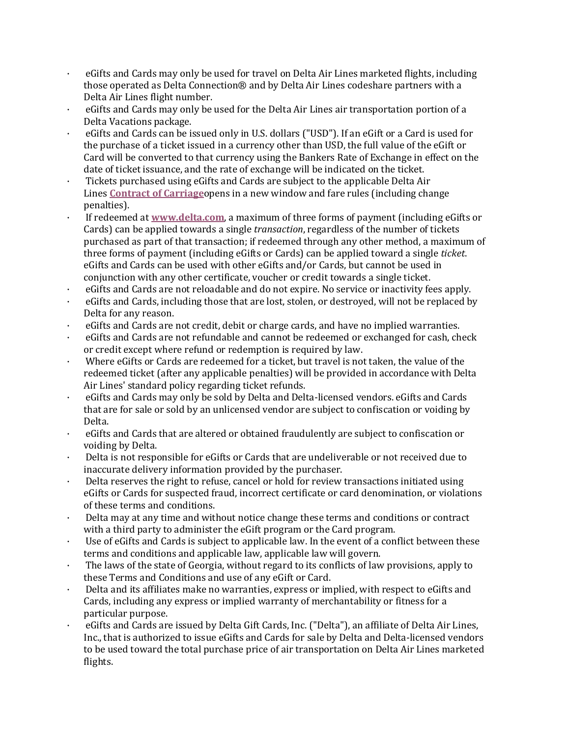- eGifts and Cards may only be used for travel on Delta Air Lines marketed flights, including those operated as Delta Connection® and by Delta Air Lines codeshare partners with a Delta Air Lines flight number.
- $\cdot$  eGifts and Cards may only be used for the Delta Air Lines air transportation portion of a Delta Vacations package.
- eGifts and Cards can be issued only in U.S. dollars ("USD"). If an eGift or a Card is used for the purchase of a ticket issued in a currency other than USD, the full value of the eGift or Card will be converted to that currency using the Bankers Rate of Exchange in effect on the date of ticket issuance, and the rate of exchange will be indicated on the ticket.
- · Tickets purchased using eGifts and Cards are subject to the applicable Delta Air Lines **Contract of Carriage**opens in a new window and fare rules (including change penalties).
- If redeemed at www.delta.com, a maximum of three forms of payment (including eGifts or Cards) can be applied towards a single *transaction*, regardless of the number of tickets purchased as part of that transaction; if redeemed through any other method, a maximum of three forms of payment (including eGifts or Cards) can be applied toward a single *ticket*. eGifts and Cards can be used with other eGifts and/or Cards, but cannot be used in conjunction with any other certificate, voucher or credit towards a single ticket.
- eGifts and Cards are not reloadable and do not expire. No service or inactivity fees apply.
- eGifts and Cards, including those that are lost, stolen, or destroyed, will not be replaced by Delta for any reason.
- eGifts and Cards are not credit, debit or charge cards, and have no implied warranties.
- eGifts and Cards are not refundable and cannot be redeemed or exchanged for cash, check or credit except where refund or redemption is required by law.
- Where eGifts or Cards are redeemed for a ticket, but travel is not taken, the value of the redeemed ticket (after any applicable penalties) will be provided in accordance with Delta Air Lines' standard policy regarding ticket refunds.
- eGifts and Cards may only be sold by Delta and Delta-licensed vendors. eGifts and Cards that are for sale or sold by an unlicensed vendor are subject to confiscation or voiding by Delta.
- eGifts and Cards that are altered or obtained fraudulently are subject to confiscation or voiding by Delta.
- Delta is not responsible for eGifts or Cards that are undeliverable or not received due to inaccurate delivery information provided by the purchaser.
- Delta reserves the right to refuse, cancel or hold for review transactions initiated using eGifts or Cards for suspected fraud, incorrect certificate or card denomination, or violations of these terms and conditions.
- · Delta may at any time and without notice change these terms and conditions or contract with a third party to administer the eGift program or the Card program.
- Use of eGifts and Cards is subject to applicable law. In the event of a conflict between these terms and conditions and applicable law, applicable law will govern.
- The laws of the state of Georgia, without regard to its conflicts of law provisions, apply to these Terms and Conditions and use of any eGift or Card.
- Delta and its affiliates make no warranties, express or implied, with respect to eGifts and Cards, including any express or implied warranty of merchantability or fitness for a particular purpose.
- eGifts and Cards are issued by Delta Gift Cards, Inc. ("Delta"), an affiliate of Delta Air Lines, Inc., that is authorized to issue eGifts and Cards for sale by Delta and Delta-licensed vendors to be used toward the total purchase price of air transportation on Delta Air Lines marketed flights.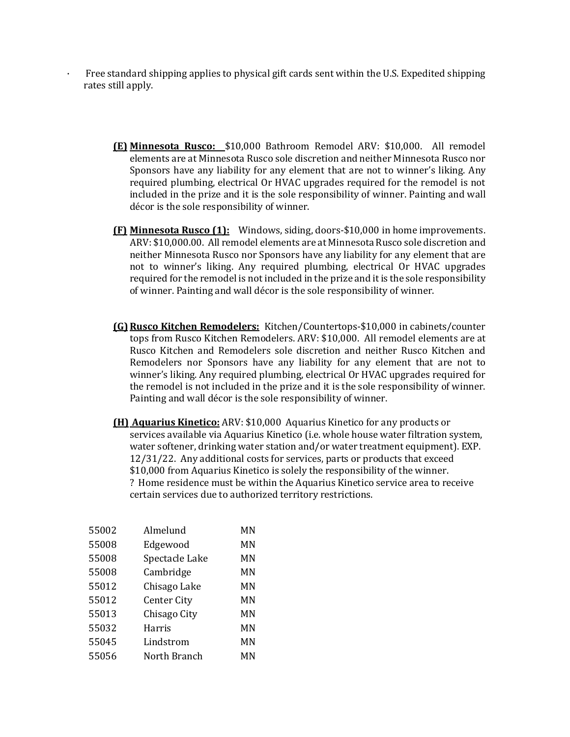- Free standard shipping applies to physical gift cards sent within the U.S. Expedited shipping rates still apply.
	- **(E) Minnesota Rusco:**  \$10,000 Bathroom Remodel ARV: \$10,000. All remodel elements are at Minnesota Rusco sole discretion and neither Minnesota Rusco nor Sponsors have any liability for any element that are not to winner's liking. Any required plumbing, electrical Or HVAC upgrades required for the remodel is not included in the prize and it is the sole responsibility of winner. Painting and wall décor is the sole responsibility of winner.
	- **(F) Minnesota Rusco (1):** Windows, siding, doors-\$10,000 in home improvements. ARV: \$10,000.00. All remodel elements are at Minnesota Rusco sole discretion and neither Minnesota Rusco nor Sponsors have any liability for any element that are not to winner's liking. Any required plumbing, electrical Or HVAC upgrades required for the remodel is not included in the prize and it is the sole responsibility of winner. Painting and wall décor is the sole responsibility of winner.
	- **(G) Rusco Kitchen Remodelers:** Kitchen/Countertops-\$10,000 in cabinets/counter tops from Rusco Kitchen Remodelers. ARV: \$10,000. All remodel elements are at Rusco Kitchen and Remodelers sole discretion and neither Rusco Kitchen and Remodelers nor Sponsors have any liability for any element that are not to winner's liking. Any required plumbing, electrical Or HVAC upgrades required for the remodel is not included in the prize and it is the sole responsibility of winner. Painting and wall décor is the sole responsibility of winner.
	- **(H) Aquarius Kinetico:** ARV: \$10,000 Aquarius Kinetico for any products or services available via Aquarius Kinetico (i.e. whole house water filtration system, water softener, drinking water station and/or water treatment equipment). EXP. 12/31/22. Any additional costs for services, parts or products that exceed \$10,000 from Aquarius Kinetico is solely the responsibility of the winner. ? Home residence must be within the Aquarius Kinetico service area to receive certain services due to authorized territory restrictions.

| 55002 | Almelund           | МN |
|-------|--------------------|----|
| 55008 | Edgewood           | MN |
| 55008 | Spectacle Lake     | MN |
| 55008 | Cambridge          | ΜN |
| 55012 | Chisago Lake       | ΜN |
| 55012 | <b>Center City</b> | MN |
| 55013 | Chisago City       | ΜN |
| 55032 | Harris             | ΜN |
| 55045 | Lindstrom          | ΜN |
| 55056 | North Branch       | MN |
|       |                    |    |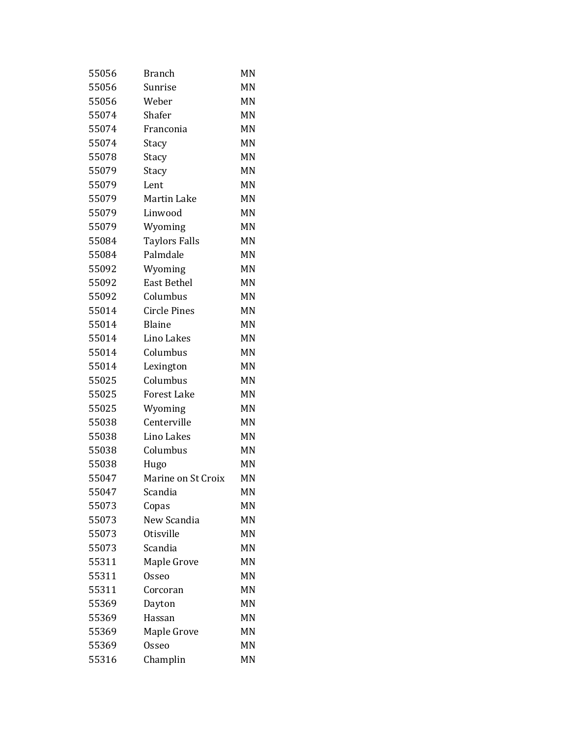| 55056 | <b>Branch</b>        | MN |
|-------|----------------------|----|
| 55056 | Sunrise              | MN |
| 55056 | Weber                | MN |
| 55074 | Shafer               | MN |
| 55074 | Franconia            | MN |
| 55074 | Stacy                | MN |
| 55078 | Stacy                | MN |
| 55079 | Stacy                | MN |
| 55079 | Lent                 | MN |
| 55079 | <b>Martin Lake</b>   | MN |
| 55079 | Linwood              | MN |
| 55079 | Wyoming              | MN |
| 55084 | <b>Taylors Falls</b> | MN |
| 55084 | Palmdale             | MN |
| 55092 | Wyoming              | MN |
| 55092 | <b>East Bethel</b>   | MN |
| 55092 | Columbus             | MN |
| 55014 | <b>Circle Pines</b>  | MN |
| 55014 | <b>Blaine</b>        | MN |
| 55014 | Lino Lakes           | MN |
| 55014 | Columbus             | MN |
| 55014 | Lexington            | MN |
| 55025 | Columbus             | MN |
| 55025 | <b>Forest Lake</b>   | MN |
| 55025 | Wyoming              | MN |
| 55038 | Centerville          | MN |
| 55038 | Lino Lakes           | MN |
| 55038 | Columbus             | MN |
| 55038 | Hugo                 | MN |
| 55047 | Marine on St Croix   | MN |
| 55047 | Scandia              | MN |
| 55073 | Copas                | MN |
| 55073 | New Scandia          | MN |
| 55073 | Otisville            | MN |
| 55073 | Scandia              | MN |
| 55311 | Maple Grove          | MN |
| 55311 | <b>Osseo</b>         | MN |
| 55311 | Corcoran             | MN |
| 55369 | Dayton               | MN |
| 55369 | Hassan               | MN |
| 55369 | Maple Grove          | MN |
| 55369 | Osseo                | MN |
| 55316 | Champlin             | MN |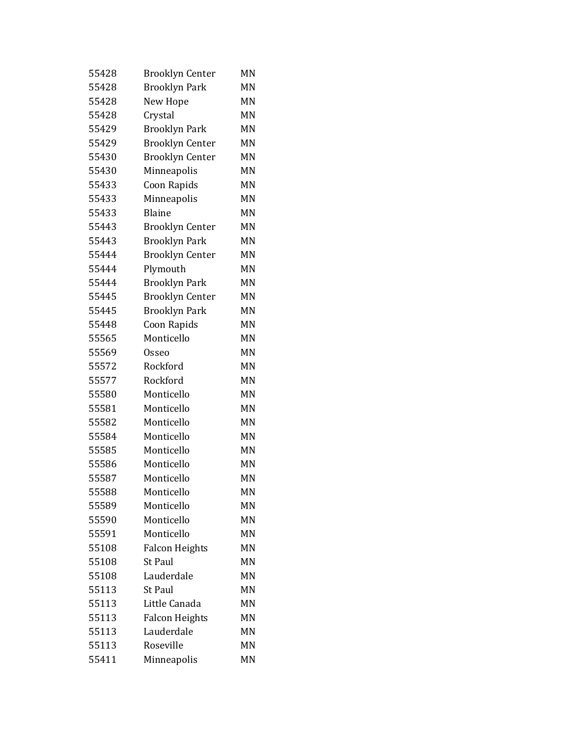| 55428 | <b>Brooklyn Center</b> | MN |
|-------|------------------------|----|
| 55428 | <b>Brooklyn Park</b>   | MN |
| 55428 | New Hope               | MN |
| 55428 | Crystal                | MN |
| 55429 | <b>Brooklyn Park</b>   | MN |
| 55429 | <b>Brooklyn Center</b> | MN |
| 55430 | <b>Brooklyn Center</b> | MN |
| 55430 | Minneapolis            | MN |
| 55433 | Coon Rapids            | MN |
| 55433 | Minneapolis            | MN |
| 55433 | Blaine                 | MN |
| 55443 | <b>Brooklyn Center</b> | MN |
| 55443 | <b>Brooklyn Park</b>   | MN |
| 55444 | <b>Brooklyn Center</b> | MN |
| 55444 | Plymouth               | MN |
| 55444 | <b>Brooklyn Park</b>   | MN |
| 55445 | <b>Brooklyn Center</b> | MN |
| 55445 | <b>Brooklyn Park</b>   | MN |
| 55448 | Coon Rapids            | MN |
| 55565 | Monticello             | MN |
| 55569 | Osseo                  | MN |
| 55572 | Rockford               | MN |
| 55577 | Rockford               | MN |
| 55580 | Monticello             | MN |
| 55581 | Monticello             | MN |
| 55582 | Monticello             | MN |
| 55584 | Monticello             | MN |
| 55585 | Monticello             | MN |
| 55586 | Monticello             | MN |
| 55587 | Monticello             | MN |
| 55588 | Monticello             | MN |
| 55589 | Monticello             | MN |
| 55590 | Monticello             | MN |
| 55591 | Monticello             | MN |
| 55108 | <b>Falcon Heights</b>  | MN |
| 55108 | <b>St Paul</b>         | MN |
| 55108 | Lauderdale             | MN |
| 55113 | <b>St Paul</b>         | MN |
| 55113 | Little Canada          | MN |
| 55113 | <b>Falcon Heights</b>  | MN |
| 55113 | Lauderdale             | MN |
| 55113 | Roseville              | MN |
| 55411 | Minneapolis            | MN |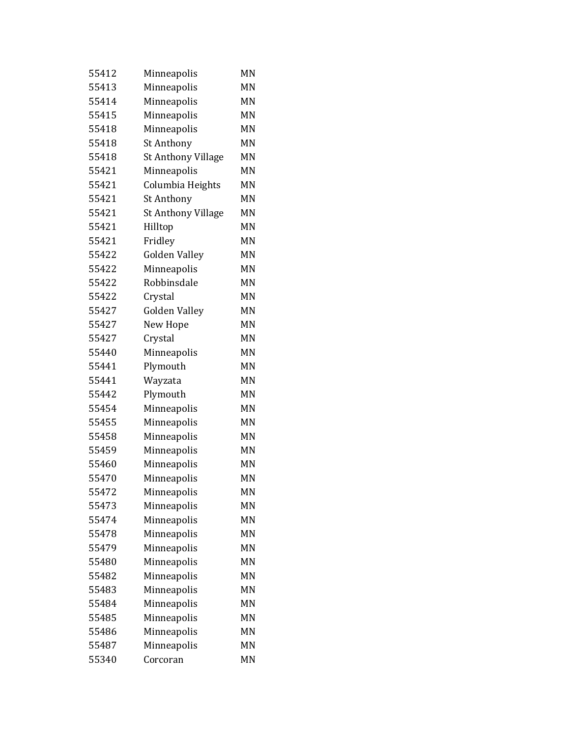| 55412 | Minneapolis               | MN |
|-------|---------------------------|----|
| 55413 | Minneapolis               | MN |
| 55414 | Minneapolis               | MN |
| 55415 | Minneapolis               | MN |
| 55418 | Minneapolis               | MN |
| 55418 | St Anthony                | MN |
| 55418 | <b>St Anthony Village</b> | MN |
| 55421 | Minneapolis               | MN |
| 55421 | Columbia Heights          | MN |
| 55421 | St Anthony                | ΜN |
| 55421 | <b>St Anthony Village</b> | MN |
| 55421 | Hilltop                   | MN |
| 55421 | Fridley                   | MN |
| 55422 | <b>Golden Valley</b>      | MN |
| 55422 | Minneapolis               | MN |
| 55422 | Robbinsdale               | MN |
| 55422 | Crystal                   | MN |
| 55427 | <b>Golden Valley</b>      | MN |
| 55427 | New Hope                  | MN |
| 55427 | Crystal                   | MN |
| 55440 | Minneapolis               | MN |
| 55441 | Plymouth                  | MN |
| 55441 | Wayzata                   | MN |
| 55442 | Plymouth                  | MN |
| 55454 | Minneapolis               | MN |
| 55455 | Minneapolis               | MN |
| 55458 | Minneapolis               | MN |
| 55459 | Minneapolis               | MN |
| 55460 | Minneapolis               | MN |
| 55470 | Minneapolis               | MN |
| 55472 | Minneapolis               | MN |
| 55473 | Minneapolis               | MN |
| 55474 | Minneapolis               | MN |
| 55478 | Minneapolis               | MN |
| 55479 | Minneapolis               | MN |
| 55480 | Minneapolis               | MN |
| 55482 | Minneapolis               | MN |
| 55483 | Minneapolis               | MN |
| 55484 | Minneapolis               | MN |
| 55485 | Minneapolis               | ΜN |
| 55486 | Minneapolis               | MN |
| 55487 | Minneapolis               | MN |
| 55340 | Corcoran                  | ΜN |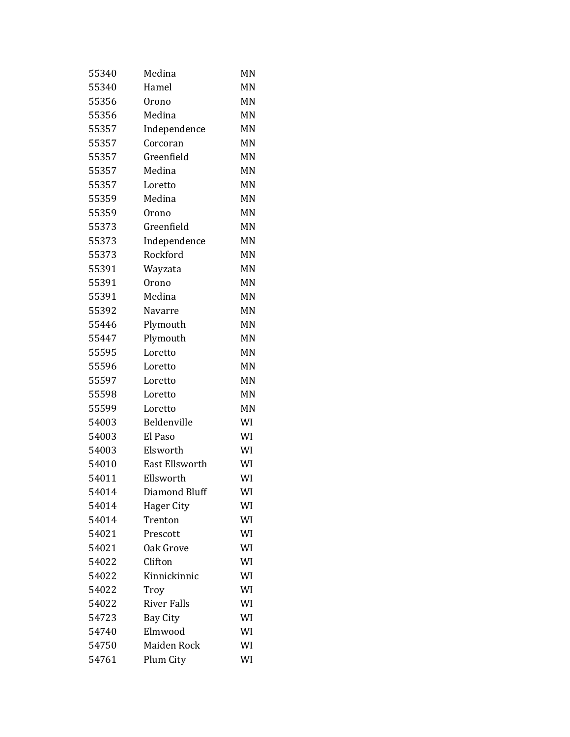| 55340 | Medina             | MN |
|-------|--------------------|----|
| 55340 | Hamel              | MN |
| 55356 | Orono              | MN |
| 55356 | Medina             | MN |
| 55357 | Independence       | MN |
| 55357 | Corcoran           | MN |
| 55357 | Greenfield         | MN |
| 55357 | Medina             | MN |
| 55357 | Loretto            | MN |
| 55359 | Medina             | MN |
| 55359 | Orono              | MN |
| 55373 | Greenfield         | MN |
| 55373 | Independence       | MN |
| 55373 | Rockford           | MN |
| 55391 | Wayzata            | MN |
| 55391 | Orono              | MN |
| 55391 | Medina             | MN |
| 55392 | Navarre            | MN |
| 55446 | Plymouth           | MN |
| 55447 | Plymouth           | MN |
| 55595 | Loretto            | MN |
| 55596 | Loretto            | MN |
| 55597 | Loretto            | MN |
| 55598 | Loretto            | MN |
| 55599 | Loretto            | MN |
| 54003 | Beldenville        | WI |
| 54003 | El Paso            | WI |
| 54003 | Elsworth           | WI |
| 54010 | East Ellsworth     | WI |
| 54011 | Ellsworth          | WI |
| 54014 | Diamond Bluff      | WI |
| 54014 | Hager City         | WI |
| 54014 | Trenton            | WI |
| 54021 | Prescott           | WI |
| 54021 | Oak Grove          | WI |
| 54022 | Clifton            | WI |
| 54022 | Kinnickinnic       | WI |
| 54022 | Troy               | WI |
| 54022 | <b>River Falls</b> | WI |
| 54723 | <b>Bay City</b>    | WI |
| 54740 | Elmwood            | WI |
| 54750 | Maiden Rock        | WI |
| 54761 | Plum City          | WI |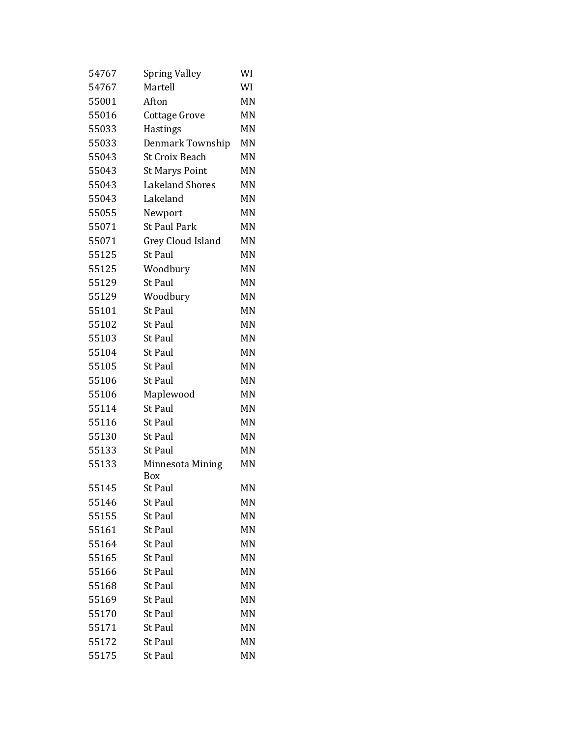| 54767 | <b>Spring Valley</b>     | WI        |
|-------|--------------------------|-----------|
| 54767 | Martell                  | WI        |
| 55001 | Afton                    | MN        |
| 55016 | Cottage Grove            | MN        |
| 55033 | <b>Hastings</b>          | MN        |
| 55033 | Denmark Township         | MN        |
| 55043 | <b>St Croix Beach</b>    | MN        |
| 55043 | <b>St Marys Point</b>    | <b>MN</b> |
| 55043 | <b>Lakeland Shores</b>   | MN        |
| 55043 | Lakeland                 | MN        |
| 55055 | Newport                  | MN        |
| 55071 | <b>St Paul Park</b>      | MN        |
| 55071 | <b>Grey Cloud Island</b> | MN        |
| 55125 | <b>St Paul</b>           | MN        |
| 55125 | Woodbury                 | <b>MN</b> |
| 55129 | <b>St Paul</b>           | MN        |
| 55129 | Woodbury                 | MN        |
| 55101 | <b>St Paul</b>           | MN        |
| 55102 | <b>St Paul</b>           | <b>MN</b> |
| 55103 | <b>St Paul</b>           | MN        |
| 55104 | <b>St Paul</b>           | MN        |
| 55105 | <b>St Paul</b>           | MN        |
| 55106 | <b>St Paul</b>           | MN        |
| 55106 | Maplewood                | MN        |
| 55114 | <b>St Paul</b>           | MN        |
| 55116 | <b>St Paul</b>           | MN        |
| 55130 | <b>St Paul</b>           | <b>MN</b> |
| 55133 | <b>St Paul</b>           | MN        |
| 55133 | Minnesota Mining<br>Box  | MN        |
| 55145 | St Paul                  | ΜN        |
| 55146 | <b>St Paul</b>           | MN        |
| 55155 | <b>St Paul</b>           | MN        |
| 55161 | <b>St Paul</b>           | MN        |
| 55164 | <b>St Paul</b>           | MN        |
| 55165 | <b>St Paul</b>           | MN        |
| 55166 | <b>St Paul</b>           | MN        |
| 55168 | <b>St Paul</b>           | MN        |
| 55169 | <b>St Paul</b>           | MN        |
| 55170 | <b>St Paul</b>           | MN        |
| 55171 | <b>St Paul</b>           | MN        |
| 55172 | <b>St Paul</b>           | MN        |
| 55175 | <b>St Paul</b>           | MN        |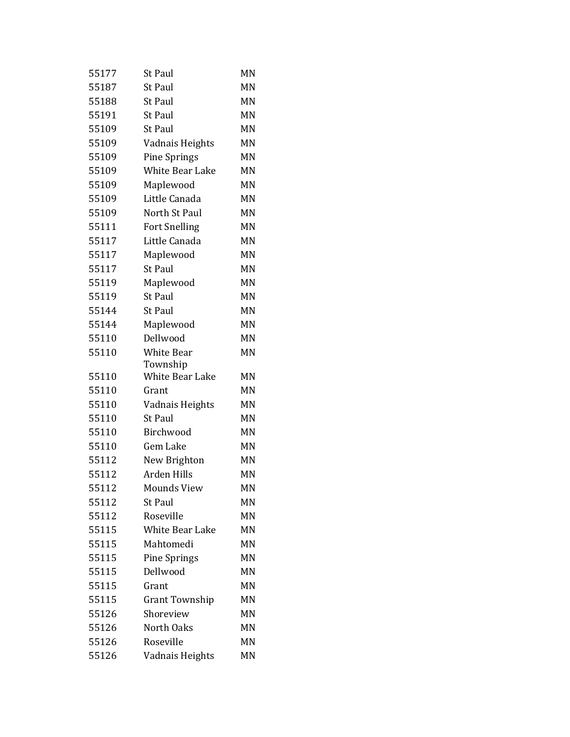| 55177 | <b>St Paul</b>         | MN |
|-------|------------------------|----|
| 55187 | <b>St Paul</b>         | MN |
| 55188 | <b>St Paul</b>         | MN |
| 55191 | <b>St Paul</b>         | MN |
| 55109 | <b>St Paul</b>         | MN |
| 55109 | Vadnais Heights        | MN |
| 55109 | <b>Pine Springs</b>    | MN |
| 55109 | <b>White Bear Lake</b> | MN |
| 55109 | Maplewood              | MN |
| 55109 | Little Canada          | MN |
| 55109 | North St Paul          | MN |
| 55111 | <b>Fort Snelling</b>   | MN |
| 55117 | Little Canada          | MN |
| 55117 | Maplewood              | MN |
| 55117 | <b>St Paul</b>         | MN |
| 55119 | Maplewood              | MN |
| 55119 | <b>St Paul</b>         | MN |
| 55144 | <b>St Paul</b>         | MN |
| 55144 | Maplewood              | MN |
| 55110 | Dellwood               | MN |
| 55110 | <b>White Bear</b>      | MN |
|       | Township               |    |
| 55110 | White Bear Lake        | MN |
| 55110 | Grant                  | MN |
| 55110 | Vadnais Heights        | MN |
| 55110 | <b>St Paul</b>         | MN |
| 55110 | Birchwood              | MN |
| 55110 | Gem Lake               | MN |
| 55112 | New Brighton           | MN |
| 55112 | Arden Hills            | MN |
| 55112 | <b>Mounds View</b>     | MN |
| 55112 | <b>St Paul</b>         | MN |
| 55112 | Roseville              | MN |
| 55115 | <b>White Bear Lake</b> | MN |
| 55115 | Mahtomedi              | MN |
| 55115 | <b>Pine Springs</b>    | MN |
| 55115 | Dellwood               | MN |
| 55115 | Grant                  | MN |
| 55115 | Grant Township         | MN |
| 55126 | Shoreview              | MN |
| 55126 | North Oaks             | MN |
| 55126 | Roseville              | MN |
| 55126 | Vadnais Heights        | MN |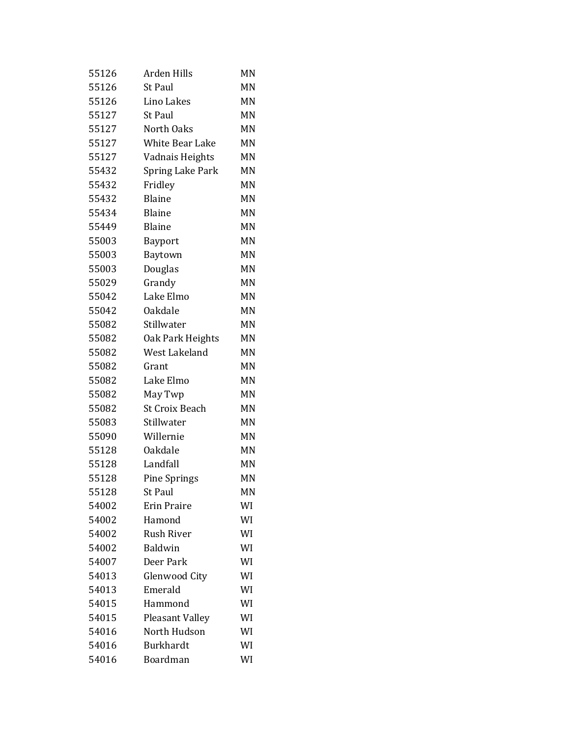| 55126 | Arden Hills             | MN |
|-------|-------------------------|----|
| 55126 | <b>St Paul</b>          | MN |
| 55126 | Lino Lakes              | MN |
| 55127 | <b>St Paul</b>          | MN |
| 55127 | North Oaks              | MN |
| 55127 | <b>White Bear Lake</b>  | MN |
| 55127 | Vadnais Heights         | MN |
| 55432 | <b>Spring Lake Park</b> | MN |
| 55432 | Fridley                 | MN |
| 55432 | <b>Blaine</b>           | MN |
| 55434 | <b>Blaine</b>           | MN |
| 55449 | <b>Blaine</b>           | MN |
| 55003 | <b>Bayport</b>          | MN |
| 55003 | Baytown                 | MN |
| 55003 | Douglas                 | MN |
| 55029 | Grandy                  | MN |
| 55042 | Lake Elmo               | MN |
| 55042 | Oakdale                 | MN |
| 55082 | Stillwater              | ΜN |
| 55082 | Oak Park Heights        | MN |
| 55082 | West Lakeland           | MN |
| 55082 | Grant                   | MN |
| 55082 | Lake Elmo               | MN |
| 55082 | May Twp                 | MN |
| 55082 | <b>St Croix Beach</b>   | MN |
| 55083 | Stillwater              | MN |
| 55090 | Willernie               | MN |
| 55128 | Oakdale                 | MN |
| 55128 | Landfall                | MN |
| 55128 | <b>Pine Springs</b>     | MN |
| 55128 | <b>St Paul</b>          | MN |
| 54002 | <b>Erin Praire</b>      | WI |
| 54002 | Hamond                  | WI |
| 54002 | <b>Rush River</b>       | WI |
| 54002 | <b>Baldwin</b>          | WI |
| 54007 | Deer Park               | WI |
| 54013 | Glenwood City           | WI |
| 54013 | Emerald                 | WI |
| 54015 | Hammond                 | WI |
| 54015 | <b>Pleasant Valley</b>  | WI |
| 54016 | North Hudson            | WI |
| 54016 | <b>Burkhardt</b>        | WI |
| 54016 | Boardman                | WI |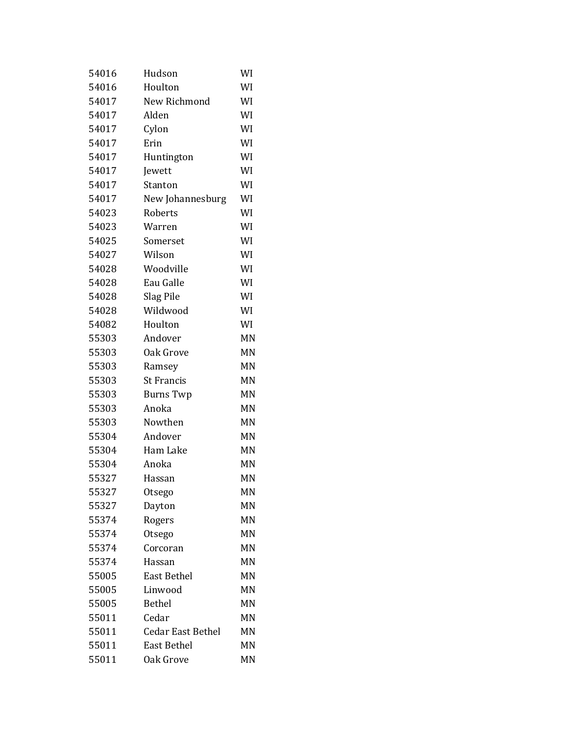| 54016 | Hudson                   | WI |
|-------|--------------------------|----|
| 54016 | Houlton                  | WI |
| 54017 | New Richmond             | WI |
| 54017 | Alden                    | WI |
| 54017 | Cylon                    | WI |
| 54017 | Erin                     | WI |
| 54017 | Huntington               | WI |
| 54017 | Jewett                   | WI |
| 54017 | Stanton                  | WI |
| 54017 | New Johannesburg         | WI |
| 54023 | Roberts                  | WI |
| 54023 | Warren                   | WI |
| 54025 | Somerset                 | WI |
| 54027 | Wilson                   | WI |
| 54028 | Woodville                | WI |
| 54028 | Eau Galle                | WI |
| 54028 | Slag Pile                | WI |
| 54028 | Wildwood                 | WI |
| 54082 | Houlton                  | WI |
| 55303 | Andover                  | MN |
| 55303 | Oak Grove                | MN |
| 55303 | Ramsey                   | MN |
| 55303 | <b>St Francis</b>        | MN |
| 55303 | <b>Burns Twp</b>         | MN |
| 55303 | Anoka                    | MN |
| 55303 | Nowthen                  | MN |
| 55304 | Andover                  | MN |
| 55304 | Ham Lake                 | MN |
| 55304 | Anoka                    | MN |
| 55327 | Hassan                   | MN |
| 55327 | Otsego                   | ΜN |
| 55327 | Dayton                   | MN |
| 55374 | Rogers                   | MN |
| 55374 | Otsego                   | MN |
| 55374 | Corcoran                 | MN |
| 55374 | Hassan                   | MN |
| 55005 | <b>East Bethel</b>       | MN |
| 55005 | Linwood                  | MN |
| 55005 | <b>Bethel</b>            | MN |
| 55011 | Cedar                    | MN |
| 55011 | <b>Cedar East Bethel</b> | MN |
| 55011 | <b>East Bethel</b>       | MN |
| 55011 | Oak Grove                | MN |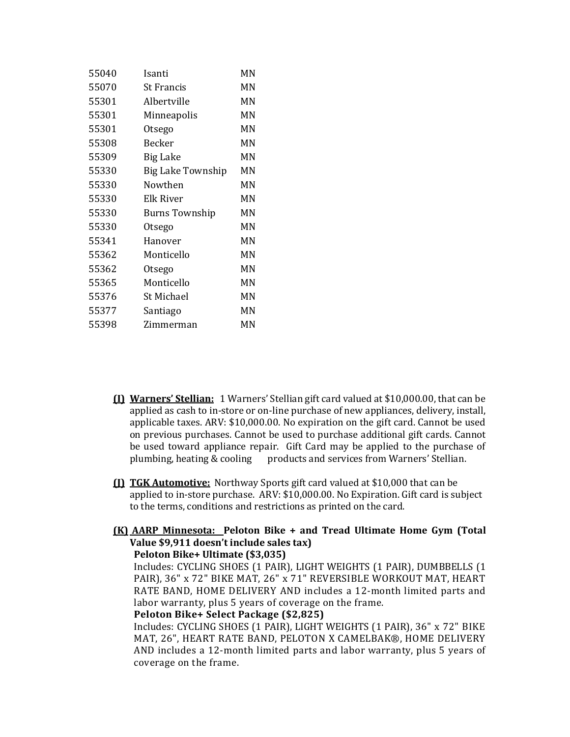| 55040 | Isanti                   | MN |
|-------|--------------------------|----|
| 55070 | <b>St Francis</b>        | MN |
| 55301 | Albertville              | MN |
| 55301 | Minneapolis              | MN |
| 55301 | Otsego                   | MN |
| 55308 | Becker                   | MN |
| 55309 | <b>Big Lake</b>          | MN |
| 55330 | <b>Big Lake Township</b> | MN |
| 55330 | Nowthen                  | MN |
| 55330 | Elk River                | MN |
| 55330 | <b>Burns Township</b>    | MN |
| 55330 | Otsego                   | MN |
| 55341 | Hanover                  | MN |
| 55362 | Monticello               | MN |
| 55362 | Otsego                   | MN |
| 55365 | Monticello               | MN |
| 55376 | St Michael               | MN |
| 55377 | Santiago                 | MN |
| 55398 | Zimmerman                | MN |

- **(I)** Warners' Stellian: 1 Warners' Stellian gift card valued at \$10,000.00, that can be applied as cash to in-store or on-line purchase of new appliances, delivery, install, applicable taxes. ARV:  $$10,000.00$ . No expiration on the gift card. Cannot be used on previous purchases. Cannot be used to purchase additional gift cards. Cannot be used toward appliance repair. Gift Card may be applied to the purchase of plumbing, heating & cooling products and services from Warners' Stellian.
- **(I) TGK Automotive:** Northway Sports gift card valued at \$10,000 that can be applied to in-store purchase.  $ARV: $10,000.00$ . No Expiration. Gift card is subject to the terms, conditions and restrictions as printed on the card.

# **(K) AARP Minnesota: Peloton Bike + and Tread Ultimate Home Gym (Total Value \$9,911 doesn't include sales tax)**

**Peloton Bike+ Ultimate (\$3,035)**

Includes: CYCLING SHOES (1 PAIR), LIGHT WEIGHTS (1 PAIR), DUMBBELLS (1 PAIR), 36" x 72" BIKE MAT, 26" x 71" REVERSIBLE WORKOUT MAT, HEART RATE BAND, HOME DELIVERY AND includes a 12-month limited parts and labor warranty, plus 5 years of coverage on the frame.

# **Peloton Bike+ Select Package (\$2,825)**

Includes: CYCLING SHOES (1 PAIR), LIGHT WEIGHTS (1 PAIR), 36" x 72" BIKE MAT, 26", HEART RATE BAND, PELOTON X CAMELBAK®, HOME DELIVERY AND includes a 12-month limited parts and labor warranty, plus 5 years of coverage on the frame.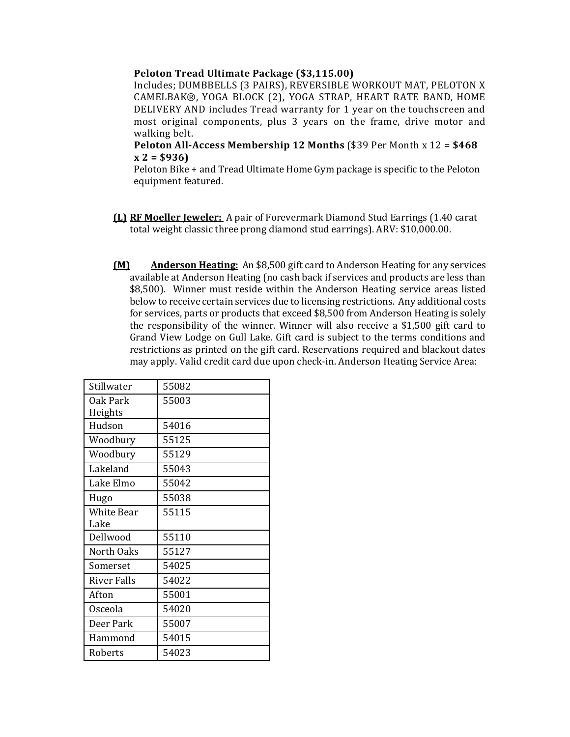### **Peloton Tread Ultimate Package (\$3,115.00)**

Includes; DUMBBELLS (3 PAIRS), REVERSIBLE WORKOUT MAT, PELOTON X CAMELBAK®, YOGA BLOCK (2), YOGA STRAP, HEART RATE BAND, HOME DELIVERY AND includes Tread warranty for 1 year on the touchscreen and most original components, plus 3 years on the frame, drive motor and walking belt.

## **Peloton All-Access Membership 12 Months** (\$39 Per Month x 12 = \$468  $x 2 = $936$

Peloton Bike + and Tread Ultimate Home Gym package is specific to the Peloton equipment featured.

- **(L) RF Moeller Jeweler:**  A pair of Forevermark Diamond Stud Earrings (1.40 carat total weight classic three prong diamond stud earrings). ARV: \$10,000.00.
- **(M) Anderson Heating:** An \$8,500 gift card to Anderson Heating for any services available at Anderson Heating (no cash back if services and products are less than \$8,500). Winner must reside within the Anderson Heating service areas listed below to receive certain services due to licensing restrictions. Any additional costs for services, parts or products that exceed  $$8,500$  from Anderson Heating is solely the responsibility of the winner. Winner will also receive a  $$1,500$  gift card to Grand View Lodge on Gull Lake. Gift card is subject to the terms conditions and restrictions as printed on the gift card. Reservations required and blackout dates may apply. Valid credit card due upon check-in. Anderson Heating Service Area:

| Stillwater        | 55082 |
|-------------------|-------|
| Oak Park          | 55003 |
| Heights           |       |
| Hudson            | 54016 |
| Woodbury          | 55125 |
| Woodbury          | 55129 |
| Lakeland          | 55043 |
| Lake Elmo         | 55042 |
| Hugo              | 55038 |
| <b>White Bear</b> | 55115 |
| Lake              |       |
| Dellwood          | 55110 |
| North Oaks        | 55127 |
| Somerset          | 54025 |
| River Falls       | 54022 |
| Afton             | 55001 |
| Osceola           | 54020 |
| Deer Park         | 55007 |
| Hammond           | 54015 |
| Roberts           | 54023 |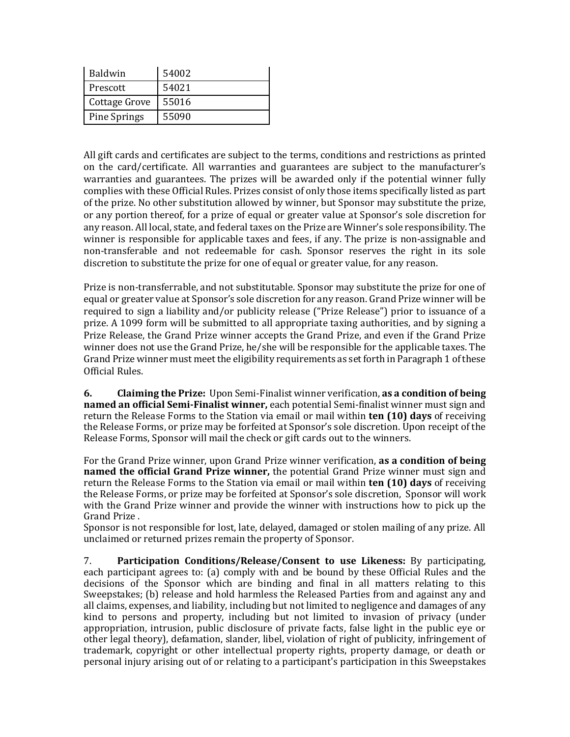| <b>Baldwin</b>      | 54002 |
|---------------------|-------|
| Prescott            | 54021 |
| Cottage Grove       | 55016 |
| <b>Pine Springs</b> | 55090 |

All gift cards and certificates are subject to the terms, conditions and restrictions as printed on the card/certificate. All warranties and guarantees are subject to the manufacturer's warranties and guarantees. The prizes will be awarded only if the potential winner fully complies with these Official Rules. Prizes consist of only those items specifically listed as part of the prize. No other substitution allowed by winner, but Sponsor may substitute the prize, or any portion thereof, for a prize of equal or greater value at Sponsor's sole discretion for any reason. All local, state, and federal taxes on the Prize are Winner's sole responsibility. The winner is responsible for applicable taxes and fees, if any. The prize is non-assignable and non-transferable and not redeemable for cash. Sponsor reserves the right in its sole discretion to substitute the prize for one of equal or greater value, for any reason.

Prize is non-transferrable, and not substitutable. Sponsor may substitute the prize for one of equal or greater value at Sponsor's sole discretion for any reason. Grand Prize winner will be required to sign a liability and/or publicity release ("Prize Release") prior to issuance of a prize. A 1099 form will be submitted to all appropriate taxing authorities, and by signing a Prize Release, the Grand Prize winner accepts the Grand Prize, and even if the Grand Prize winner does not use the Grand Prize, he/she will be responsible for the applicable taxes. The Grand Prize winner must meet the eligibility requirements as set forth in Paragraph 1 of these Official Rules. 

**6. Claiming the Prize:** Upon Semi-Finalist winner verification, **as a condition of being named an official Semi-Finalist winner**, each potential Semi-finalist winner must sign and return the Release Forms to the Station via email or mail within **ten (10) days** of receiving the Release Forms, or prize may be forfeited at Sponsor's sole discretion. Upon receipt of the Release Forms, Sponsor will mail the check or gift cards out to the winners.

For the Grand Prize winner, upon Grand Prize winner verification, **as a condition of being named the official Grand Prize winner,** the potential Grand Prize winner must sign and return the Release Forms to the Station via email or mail within **ten (10) days** of receiving the Release Forms, or prize may be forfeited at Sponsor's sole discretion, Sponsor will work with the Grand Prize winner and provide the winner with instructions how to pick up the Grand Prize.

Sponsor is not responsible for lost, late, delayed, damaged or stolen mailing of any prize. All unclaimed or returned prizes remain the property of Sponsor.

7. **Participation Conditions/Release/Consent to use Likeness:** By participating, each participant agrees to: (a) comply with and be bound by these Official Rules and the decisions of the Sponsor which are binding and final in all matters relating to this Sweepstakes; (b) release and hold harmless the Released Parties from and against any and all claims, expenses, and liability, including but not limited to negligence and damages of any kind to persons and property, including but not limited to invasion of privacy (under appropriation, intrusion, public disclosure of private facts, false light in the public eye or other legal theory), defamation, slander, libel, violation of right of publicity, infringement of trademark, copyright or other intellectual property rights, property damage, or death or personal injury arising out of or relating to a participant's participation in this Sweepstakes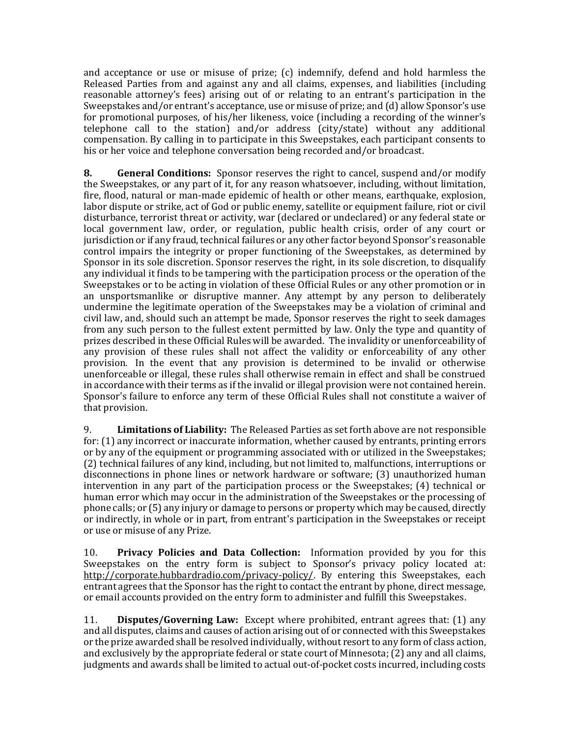and acceptance or use or misuse of prize;  $(c)$  indemnify, defend and hold harmless the Released Parties from and against any and all claims, expenses, and liabilities (including reasonable attorney's fees) arising out of or relating to an entrant's participation in the Sweepstakes and/or entrant's acceptance, use or misuse of prize; and  $(d)$  allow Sponsor's use for promotional purposes, of his/her likeness, voice (including a recording of the winner's telephone call to the station) and/or address (city/state) without any additional compensation. By calling in to participate in this Sweepstakes, each participant consents to his or her voice and telephone conversation being recorded and/or broadcast.

**8. General Conditions:** Sponsor reserves the right to cancel, suspend and/or modify the Sweepstakes, or any part of it, for any reason whatsoever, including, without limitation, fire, flood, natural or man-made epidemic of health or other means, earthquake, explosion, labor dispute or strike, act of God or public enemy, satellite or equipment failure, riot or civil disturbance, terrorist threat or activity, war (declared or undeclared) or any federal state or local government law, order, or regulation, public health crisis, order of any court or jurisdiction or if any fraud, technical failures or any other factor beyond Sponsor's reasonable control impairs the integrity or proper functioning of the Sweepstakes, as determined by Sponsor in its sole discretion. Sponsor reserves the right, in its sole discretion, to disqualify any individual it finds to be tampering with the participation process or the operation of the Sweepstakes or to be acting in violation of these Official Rules or any other promotion or in an unsportsmanlike or disruptive manner. Any attempt by any person to deliberately undermine the legitimate operation of the Sweepstakes may be a violation of criminal and civil law, and, should such an attempt be made, Sponsor reserves the right to seek damages from any such person to the fullest extent permitted by law. Only the type and quantity of prizes described in these Official Rules will be awarded. The invalidity or unenforceability of any provision of these rules shall not affect the validity or enforceability of any other provision. In the event that any provision is determined to be invalid or otherwise unenforceable or illegal, these rules shall otherwise remain in effect and shall be construed in accordance with their terms as if the invalid or illegal provision were not contained herein. Sponsor's failure to enforce any term of these Official Rules shall not constitute a waiver of that provision.

9. **Limitations of Liability:** The Released Parties as set forth above are not responsible for:  $(1)$  any incorrect or inaccurate information, whether caused by entrants, printing errors or by any of the equipment or programming associated with or utilized in the Sweepstakes; (2) technical failures of any kind, including, but not limited to, malfunctions, interruptions or disconnections in phone lines or network hardware or software; (3) unauthorized human intervention in any part of the participation process or the Sweepstakes;  $(4)$  technical or human error which may occur in the administration of the Sweepstakes or the processing of  $\phi$  phone calls; or (5) any injury or damage to persons or property which may be caused, directly or indirectly, in whole or in part, from entrant's participation in the Sweepstakes or receipt or use or misuse of any Prize.

10. **Privacy Policies and Data Collection:** Information provided by you for this Sweepstakes on the entry form is subject to Sponsor's privacy policy located at: http://corporate.hubbardradio.com/privacy-policy/. By entering this Sweepstakes, each entrant agrees that the Sponsor has the right to contact the entrant by phone, direct message, or email accounts provided on the entry form to administer and fulfill this Sweepstakes.

11. **Disputes/Governing Law:** Except where prohibited, entrant agrees that: (1) any and all disputes, claims and causes of action arising out of or connected with this Sweepstakes or the prize awarded shall be resolved individually, without resort to any form of class action, and exclusively by the appropriate federal or state court of Minnesota;  $(2)$  any and all claims, judgments and awards shall be limited to actual out-of-pocket costs incurred, including costs